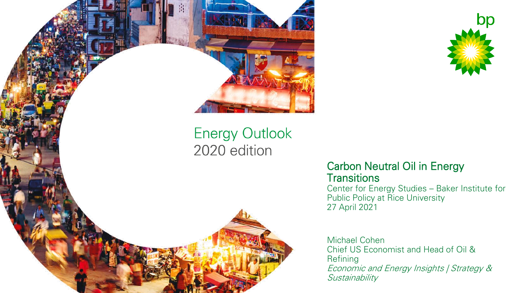



### Carbon Neutral Oil in Energy **Transitions**

Center for Energy Studies – Baker Institute for Public Policy at Rice University 27 April 2021

Michael Cohen Chief US Economist and Head of Oil & Refining Economic and Energy Insights | Strategy & **Sustainability**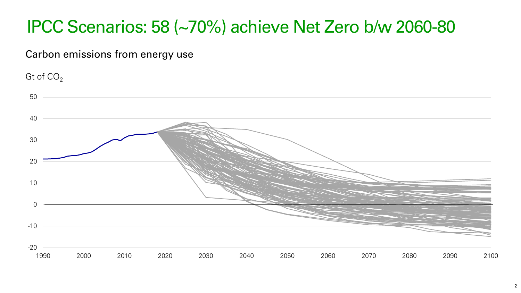# IPCC Scenarios: 58 (~70%) achieve Net Zero b/w 2060-80

Carbon emissions from energy use

Gt of  $CO<sub>2</sub>$ 

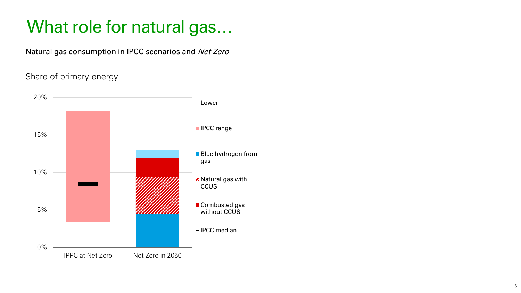## What role for natural gas…

Natural gas consumption in IPCC scenarios and Net Zero

### Share of primary energy

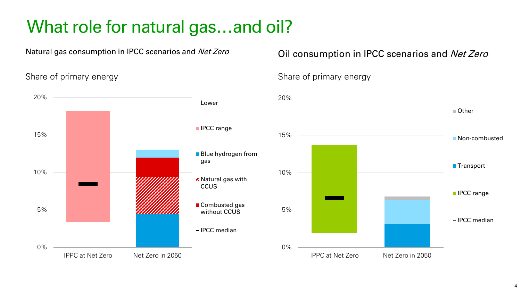# What role for natural gas…and oil?

Share of primary energy share of primary energy



## Natural gas consumption in IPCC scenarios and Net Zero **Oil consumption in IPCC scenarios** and Net Zero

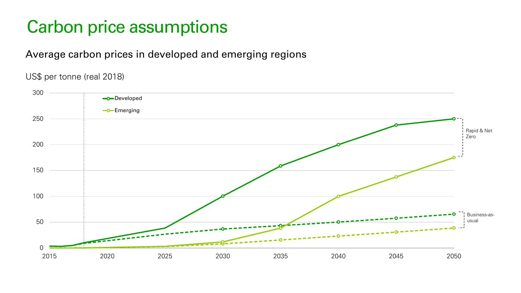## Carbon price assumptions

## Average carbon prices in developed and emerging regions

### US\$ per tonne (real 2018)